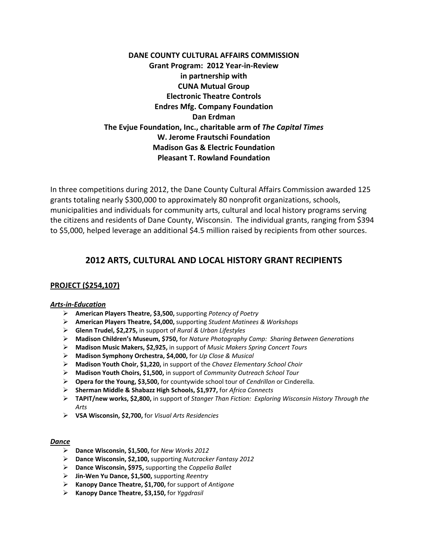**DANE COUNTY CULTURAL AFFAIRS COMMISSION Grant Program: 2012 Year‐in‐Review in partnership with CUNA Mutual Group Electronic Theatre Controls Endres Mfg. Company Foundation Dan Erdman The Evjue Foundation, Inc., charitable arm of** *The Capital Times* **W. Jerome Frautschi Foundation Madison Gas & Electric Foundation Pleasant T. Rowland Foundation**

In three competitions during 2012, the Dane County Cultural Affairs Commission awarded 125 grants totaling nearly \$300,000 to approximately 80 nonprofit organizations, schools, municipalities and individuals for community arts, cultural and local history programs serving the citizens and residents of Dane County, Wisconsin. The individual grants, ranging from \$394 to \$5,000, helped leverage an additional \$4.5 million raised by recipients from other sources.

# **2012 ARTS, CULTURAL AND LOCAL HISTORY GRANT RECIPIENTS**

## **PROJECT (\$254,107)**

### *Arts‐in‐Education*

- **American Players Theatre, \$3,500,** supporting *Potency of Poetry*
- **American Players Theatre, \$4,000,** supporting *Student Matinees & Workshops*
- **Glenn Trudel, \$2,275,** in support of *Rural & Urban Lifestyles*
- **Madison Children's Museum, \$750,** for *Nature Photography Camp: Sharing Between Generations*
- **Madison Music Makers, \$2,925,** in support of *Music Makers Spring Concert Tours*
- **Madison Symphony Orchestra, \$4,000,** for *Up Close & Musical*
- **Madison Youth Choir, \$1,220,** in support of the *Chavez Elementary School Choir*
- **Madison Youth Choirs, \$1,500,** in support of *Community Outreach School Tour*
- **Opera for the Young, \$3,500,** for countywide school tour of *Cendrillon* or Cinderella.
- **Sherman Middle & Shabazz High Schools, \$1,977,** for *Africa Connects*
- **TAPIT/new works, \$2,800,** in support of *Stanger Than Fiction: Exploring Wisconsin History Through the Arts*
- **VSA Wisconsin, \$2,700,** for *Visual Arts Residencies*

#### *Dance*

- **Dance Wisconsin, \$1,500,** for *New Works 2012*
- **Dance Wisconsin, \$2,100,** supporting *Nutcracker Fantasy 2012*
- **Dance Wisconsin, \$975,** supporting the *Coppelia Ballet*
- **Jin‐Wen Yu Dance, \$1,500,** supporting *Reentry*
- **Kanopy Dance Theatre, \$1,700,** for support of *Antigone*
- **Kanopy Dance Theatre, \$3,150,** for *Yggdrasil*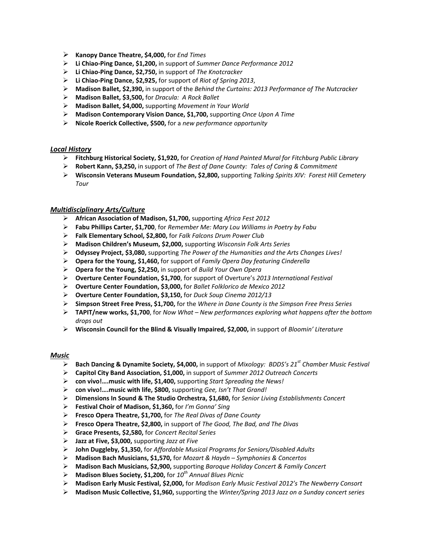- **Kanopy Dance Theatre, \$4,000,** for *End Times*
- **Li Chiao‐Ping Dance, \$1,200,** in support of *Summer Dance Performance 2012*
- **Li Chiao‐Ping Dance, \$2,750,** in support of *The Knotcracker*
- **Li Chiao‐Ping Dance, \$2,925,** for support of *Riot of Spring 2013*,
- **Madison Ballet, \$2,390,** in support of the *Behind the Curtains: 2013 Performance of The Nutcracker*
- **Madison Ballet, \$3,500,** for *Dracula: A Rock Ballet*
- **Madison Ballet, \$4,000,** supporting *Movement in Your World*
- **Madison Contemporary Vision Dance, \$1,700,** supporting *Once Upon A Time*
- **Nicole Roerick Collective, \$500,** for a *new performance opportunity*

### *Local History*

- **Fitchburg Historical Society, \$1,920,** for *Creation of Hand Painted Mural for Fitchburg Public Library*
- **Robert Kann, \$3,250,** in support of *The Best of Dane County: Tales of Caring & Commitment*
- **Wisconsin Veterans Museum Foundation, \$2,800,** supporting *Talking Spirits XIV: Forest Hill Cemetery Tour*

### *Multidisciplinary Arts/Culture*

- **African Association of Madison, \$1,700,** supporting *Africa Fest 2012*
- **Fabu Phillips Carter, \$1,700**, for *Remember Me: Mary Lou Williams in Poetry by Fabu*
- **Falk Elementary School, \$2,800,** for *Falk Falcons Drum Power Club*
- **Madison Children's Museum, \$2,000,** supporting *Wisconsin Folk Arts Series*
- **Odyssey Project, \$3,080,** supporting *The Power of the Humanities and the Arts Changes Lives!*
- **Opera for the Young, \$1,460,** for support of *Family Opera Day featuring Cinderella*
- **Opera for the Young, \$2,250,** in support of *Build Your Own Opera*
- **Overture Center Foundation, \$1,700**, for support of Overture's *2013 International Festival*
- **Overture Center Foundation, \$3,000,** for *Ballet Folklorico de Mexico 2012*
- **Overture Center Foundation, \$3,150,** for *Duck Soup Cinema 2012/13*
- **Simpson Street Free Press, \$1,700,** for the *Where in Dane County is the Simpson Free Press Series*
- **TAPIT/new works, \$1,700**, for *Now What – New performances exploring what happens after the bottom drops out*
- **Wisconsin Council for the Blind & Visually Impaired, \$2,000,** in support of *Bloomin' Literature*

#### *Music*

- **Bach Dancing & Dynamite Society, \$4,000,** in support of *Mixology: BDDS's 21st Chamber Music Festival*
- **Capitol City Band Association, \$1,000,** in support of *Summer 2012 Outreach Concerts*
- **con vivo!….music with life, \$1,400,** supporting *Start Spreading the News!*
- **con vivo!….music with life, \$800,** supporting *Gee, Isn't That Grand!*
- **Dimensions In Sound & The Studio Orchestra, \$1,680,** for *Senior Living Establishments Concert*
- **Festival Choir of Madison, \$1,360,** for *I'm Gonna' Sing*
- **Fresco Opera Theatre, \$1,700,** for *The Real Divas of Dane County*
- **Fresco Opera Theatre, \$2,800,** in support of *The Good, The Bad, and The Divas*
- **Grace Presents, \$2,580,** for *Concert Recital Series*
- **Jazz at Five, \$3,000,** supporting *Jazz at Five*
- **John Duggleby, \$1,350,** for *Affordable Musical Programs for Seniors/Disabled Adults*
- **Madison Bach Musicians, \$1,570,** for *Mozart & Haydn – Symphonies & Concertos*
- **Madison Bach Musicians, \$2,900,** supporting *Baroque Holiday Concert & Family Concert*
- **Madison Blues Society, \$1,200,** for *10th Annual Blues Picnic*
- **Madison Early Music Festival, \$2,000,** for *Madison Early Music Festival 2012's The Newberry Consort*
- **Madison Music Collective, \$1,960,** supporting the *Winter/Spring 2013 Jazz on a Sunday concert series*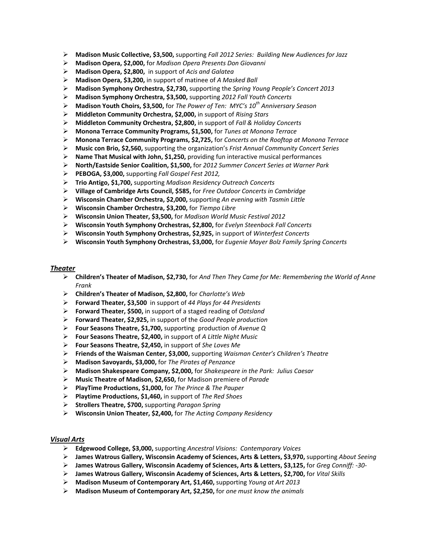- **Madison Music Collective, \$3,500,** supporting *Fall 2012 Series: Building New Audiences for Jazz*
- **Madison Opera, \$2,000,** for *Madison Opera Presents Don Giovanni*
- **Madison Opera, \$2,800,** in support of *Acis and Galatea*
- **Madison Opera, \$3,200,** in support of matinee of *A Masked Ball*
- **Madison Symphony Orchestra, \$2,730,** supporting the *Spring Young People's Concert 2013*
- **Madison Symphony Orchestra, \$3,500,** supporting *2012 Fall Youth Concerts*
- **Madison Youth Choirs, \$3,500,** for *The Power of Ten: MYC's 10th Anniversary Season*
- **Middleton Community Orchestra, \$2,000,** in support of *Rising Stars*
- **Middleton Community Orchestra, \$2,800,** in support of *Fall & Holiday Concerts*
- **Monona Terrace Community Programs, \$1,500,** for *Tunes at Monona Terrace*
- **Monona Terrace Community Programs, \$2,725,** for *Concerts on the Rooftop at Monona Terrace*
- **Music con Brio, \$2,560,** supporting the organization's *Frist Annual Community Concert Series*
- **Name That Musical with John, \$1,250,** providing fun interactive musical performances
- **North/Eastside Senior Coalition, \$1,500,** for *2012 Summer Concert Series at Warner Park*
- **PEBOGA, \$3,000,** supporting *Fall Gospel Fest 2012,*
- **Trio Antigo, \$1,700,** supporting *Madison Residency Outreach Concerts*
- **Village of Cambridge Arts Council, \$585,** for *Free Outdoor Concerts in Cambridge*
- **Wisconsin Chamber Orchestra, \$2,000,** supporting *An evening with Tasmin Little*
- **Wisconsin Chamber Orchestra, \$3,200,** for *Tiempo Libre*
- **Wisconsin Union Theater, \$3,500,** for *Madison World Music Festival 2012*
- **Wisconsin Youth Symphony Orchestras, \$2,800,** for *Evelyn Steenbock Fall Concerts*
- **Wisconsin Youth Symphony Orchestras, \$2,925,** in support of *Winterfest Concerts*
- **Wisconsin Youth Symphony Orchestras, \$3,000,** for *Eugenie Mayer Bolz Family Spring Concerts*

### *Theater*

- **Children's Theater of Madison, \$2,730,** for *And Then They Came for Me: Remembering the World of Anne Frank*
- **Children's Theater of Madison, \$2,800,** for *Charlotte's Web*
- **Forward Theater, \$3,500** in support of *44 Plays for 44 Presidents*
- **Forward Theater, \$500,** in support of a staged reading of *Oatsland*
- **Forward Theater, \$2,925,** in support of the *Good People production*
- **Four Seasons Theatre, \$1,700,** supporting production of *Avenue Q*
- **Four Seasons Theatre, \$2,400,** in support of *A Little Night Music*
- **Four Seasons Theatre, \$2,450,** in support of *She Loves Me*
- **Friends of the Waisman Center, \$3,000,** supporting *Waisman Center's Children's Theatre*
- **Madison Savoyards, \$3,000,** for *The Pirates of Penzance*
- **Madison Shakespeare Company, \$2,000,** for *Shakespeare in the Park: Julius Caesar*
- **Music Theatre of Madison, \$2,650,** for Madison premiere of *Parade*
- **PlayTime Productions, \$1,000,** for *The Prince & The Pauper*
- **Playtime Productions, \$1,460,** in support of *The Red Shoes*
- **Strollers Theatre, \$700,** supporting *Paragon Spring*
- **Wisconsin Union Theater, \$2,400,** for *The Acting Company Residency*

#### *Visual Arts*

- **Edgewood College, \$3,000,** supporting *Ancestral Visions: Contemporary Voices*
- **James Watrous Gallery, Wisconsin Academy of Sciences, Arts & Letters, \$3,970,** supporting *About Seeing*
- **James Watrous Gallery, Wisconsin Academy of Sciences, Arts & Letters, \$3,125,** for *Greg Conniff: ‐30‐*
- **James Watrous Gallery, Wisconsin Academy of Sciences, Arts & Letters, \$2,700,** for *Vital Skills*
- **Madison Museum of Contemporary Art, \$1,460,** supporting *Young at Art 2013*
- **Madison Museum of Contemporary Art, \$2,250,** for *one must know the animals*